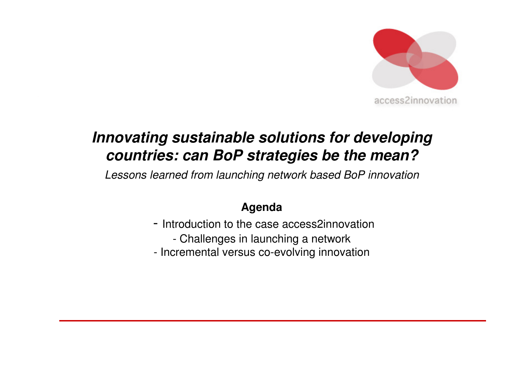

# **Innovating sustainable solutions for developing countries: can BoP strategies be the mean?**

Lessons learned from launching network based BoP innovation

#### **Agenda**

- Introduction to the case access2innovation
	- Challenges in launching a network
- Incremental versus co-evolving innovation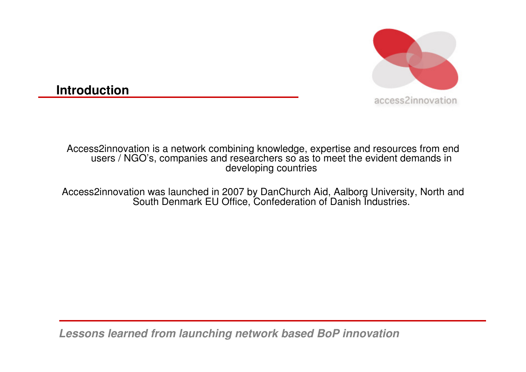

**Introduction**

Access2innovation is a network combining knowledge, expertise and resources from end users / NGO's, companies and researchers so as to meet the evident demands in developing countries

Access2innovation was launched in 2007 by DanChurch Aid, Aalborg University, North and<br>Cauth Danmark EU Office, Cantaderation of Danish Industries South Denmark EU Office, Confederation of Danish Industries.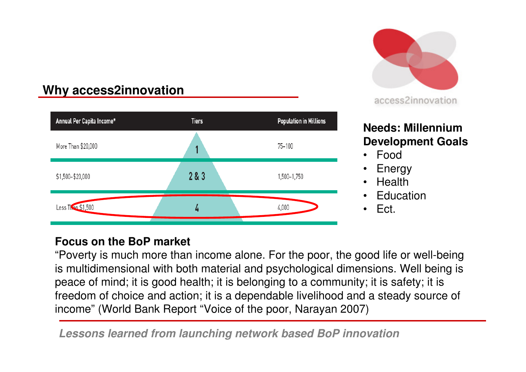#### **Why access2innovation**





#### **Needs: Millennium Development Goals**

- Food
- Energy •
- Health
- **Education** •
- •Ect.

#### **Focus on the BoP market**

"Poverty is much more than income alone. For the poor, the good life or well-being is multidimensional with both material and psychological dimensions. Well being is peace of mind; it is good health; it is belonging to a community; it is safety; it is freedom of choice and action; it is a dependable livelihood and a steady source of income" (World Bank Report "Voice of the poor, Narayan 2007)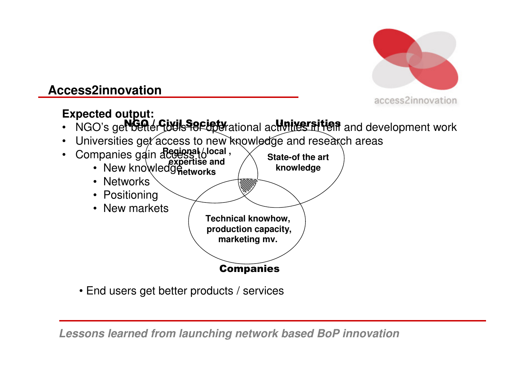

#### **Access2innovation**

## **Expected output:**

- NGO / Civil Society<br>L'Oeller Jo<del>cis Torup</del>er Universities• NGO's get better to use of the tational activities at yeit and development work
- Universities ge $\ell$  access to new knowledge and research areas



• End users get better products / services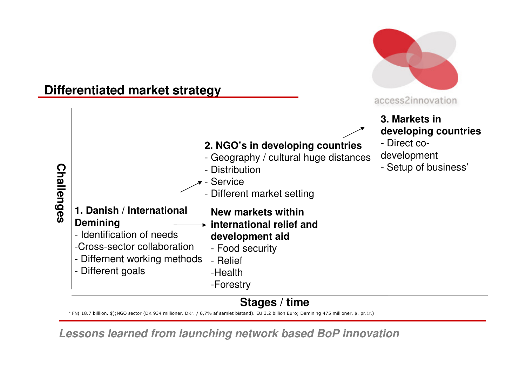

#### **Stages / time**

\* FN( 18.7 billlion. \$);NGO sector (DK 934 millioner. DKr. / 6,7% af samlet bistand). EU 3,2 billion Euro; Demining 475 millioner. \$. pr.år.)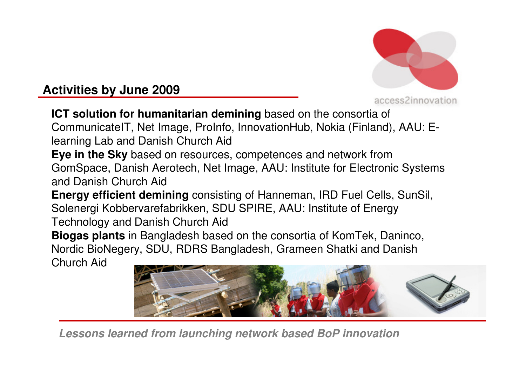

**Activities by June 2009**

access2innovation

**ICT solution for humanitarian demining** based on the consortia of CommunicateIT, Net Image, ProInfo, InnovationHub, Nokia (Finland), AAU: Elearning Lab and Danish Church Aid

 **Eye in the Sky** based on resources, competences and network from GomSpace, Danish Aerotech, Net Image, AAU: Institute for Electronic Systems and Danish Church Aid

**Energy efficient demining** consisting of Hanneman, IRD Fuel Cells, SunSil, Solenergi Kobbervarefabrikken, SDU SPIRE, AAU: Institute of Energy Technology and Danish Church Aid

 **Biogas plants** in Bangladesh based on the consortia of KomTek, Daninco, Nordic BioNegery, SDU, RDRS Bangladesh, Grameen Shatki and Danish

Church Aid

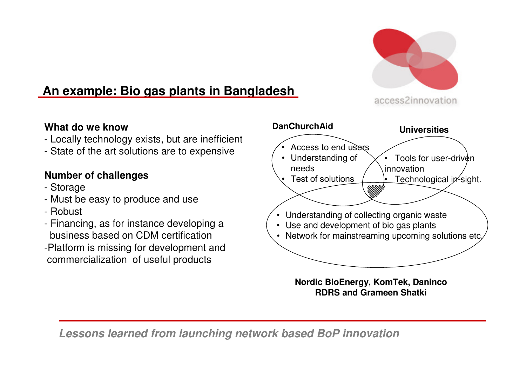

## **An example: Bio gas plants in Bangladesh**

**What do we know**

- Locally technology exists, but are inefficient
- State of the art solutions are to expensive

#### **Number of challenges**

- Storage
- Must be easy to produce and use
- Robust
- Financing, as for instance developing a business based on CDM certification
- -Platform is missing for development and commercialization of useful products



**Nordic BioEnergy, KomTek, DanincoRDRS and Grameen Shatki**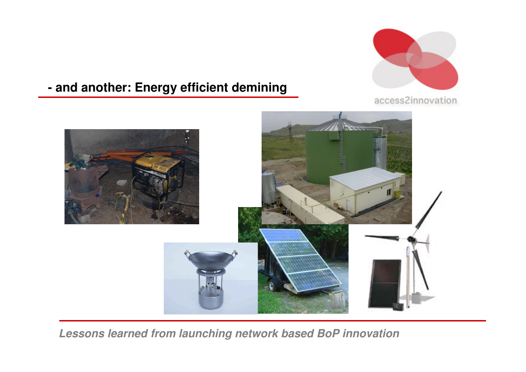

#### **- and another: Energy efficient demining**

access2innovation

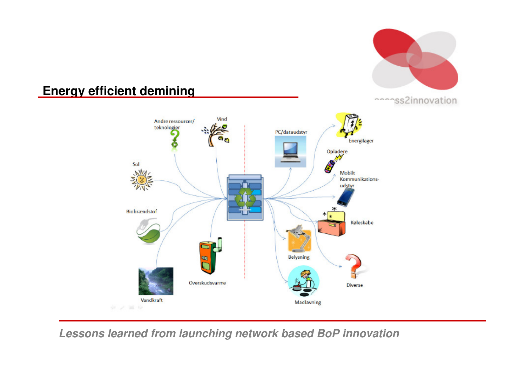

#### **Energy efficient demining**

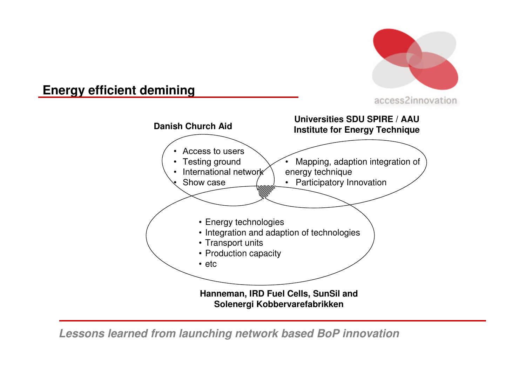

#### **Energy efficient demining**

**Danish Church AidHanneman, IRD Fuel Cells, SunSil and Solenergi KobbervarefabrikkenUniversities SDU SPIRE / AAU Institute for Energy Technique**• Energy technologies • Integration and adaption of technologies• Transport units • Production capacity• etc• Mapping, adaption integration of energy technique • Participatory Innovation• Access to users • Testing ground International network••Show case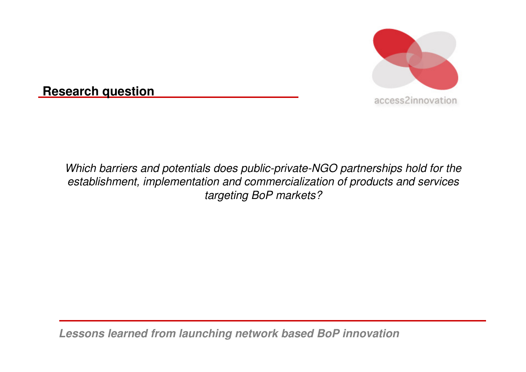

**Research question**

Which barriers and potentials does public-private-NGO partnerships hold for the establishment, implementation and commercialization of products and services targeting BoP markets?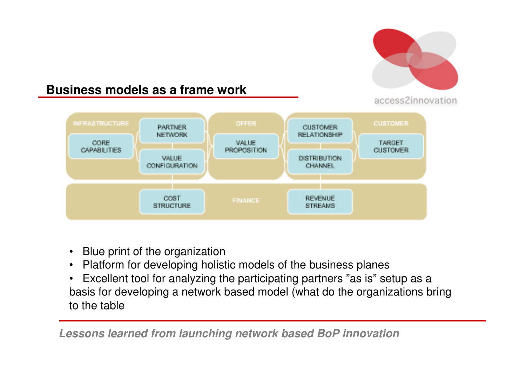

#### **Business models as a frame work**



- $\bullet$ Blue print of the organization
- Platform for developing holistic models of the business planes•
- Excellent tool for analyzing the participating partners "as is" setup as a •basis for developing a network based model (what do the organizations bring to the table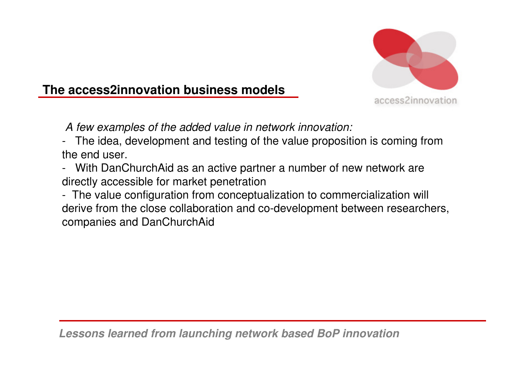

#### **The access2innovation business models**

A few examples of the added value in network innovation:

- The idea, development and testing of the value proposition is coming from the end user.
- With DanChurchAid as an active partner a number of new network are directly accessible for market penetration
- The value configuration from conceptualization to commercialization will derive from the close collaboration and co-development between researchers, companies and DanChurchAid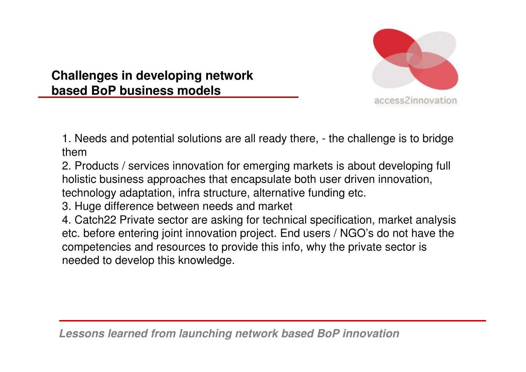

**Challenges in developing network based BoP business models** 

1. Needs and potential solutions are all ready there, - the challenge is to bridge them

 2. Products / services innovation for emerging markets is about developing full holistic business approaches that encapsulate both user driven innovation, technology adaptation, infra structure, alternative funding etc.

3. Huge difference between needs and market

4. Catch22 Private sector are asking for technical specification, market analysis etc. before entering joint innovation project. End users / NGO's do not have the competencies and resources to provide this info, why the private sector is needed to develop this knowledge.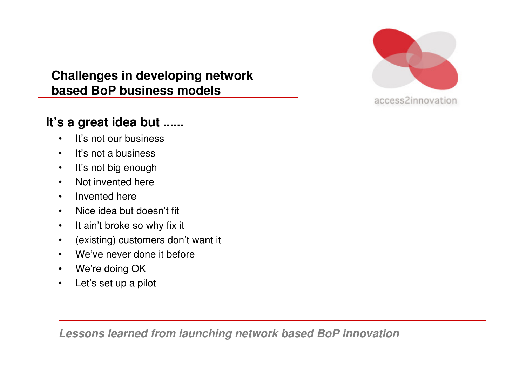

#### **Challenges in developing network based BoP business models**

## **It's a great idea but ......**

- •It's not our business
- $\bullet$ It's not a business
- $\bullet$ It's not big enough
- Not invented here $\bullet$
- •Invented here
- Nice idea but doesn't fit  $\bullet$
- $\bullet$ It ain't broke so why fix it
- •(existing) customers don't want it
- •We've never done it before
- •We're doing OK
- Let's set up a pilot  $\bullet$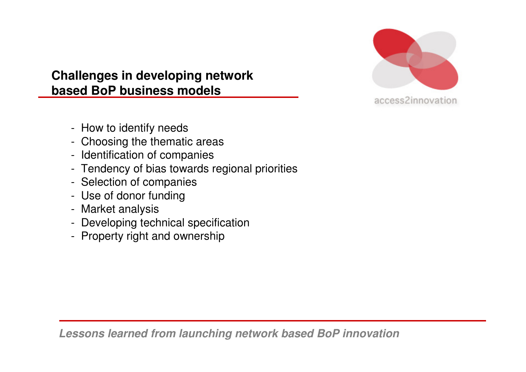

#### **Challenges in developing network based BoP business models**

- How to identify needs
- Choosing the thematic areas
- Identification of companies
- Tendency of bias towards regional priorities
- Selection of companies
- Use of donor funding
- Market analysis
- Developing technical specification
- Property right and ownership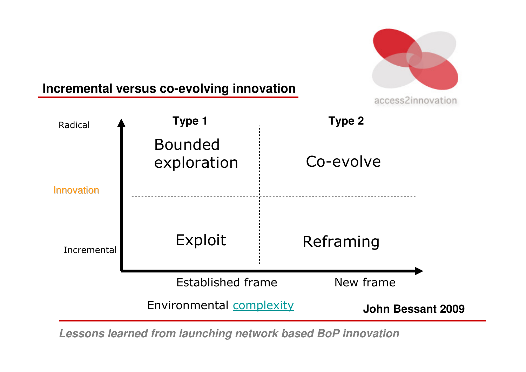

#### **Incremental versus co-evolving innovation**

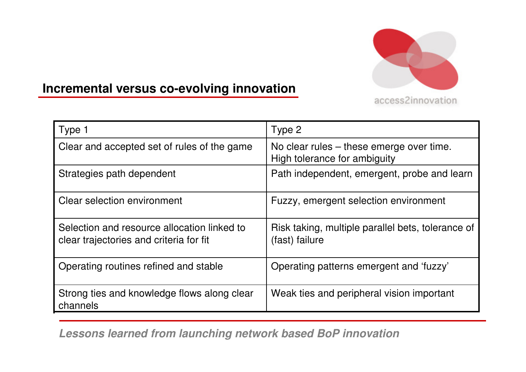

## **Incremental versus co-evolving innovation**

| Type 1                                                                                 | Type 2                                                                   |
|----------------------------------------------------------------------------------------|--------------------------------------------------------------------------|
|                                                                                        |                                                                          |
| Clear and accepted set of rules of the game                                            | No clear rules – these emerge over time.<br>High tolerance for ambiguity |
| Strategies path dependent                                                              | Path independent, emergent, probe and learn                              |
| <b>Clear selection environment</b>                                                     | Fuzzy, emergent selection environment                                    |
| Selection and resource allocation linked to<br>clear trajectories and criteria for fit | Risk taking, multiple parallel bets, tolerance of<br>(fast) failure      |
| Operating routines refined and stable                                                  | Operating patterns emergent and 'fuzzy'                                  |
| Strong ties and knowledge flows along clear<br>channels                                | Weak ties and peripheral vision important                                |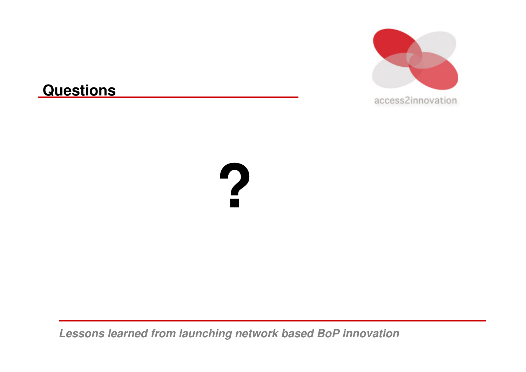

## **Questions**

# **?**